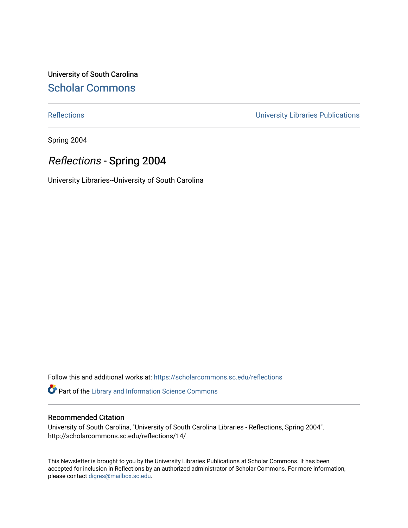University of South Carolina [Scholar Commons](https://scholarcommons.sc.edu/) 

[Reflections](https://scholarcommons.sc.edu/reflections) [University Libraries Publications](https://scholarcommons.sc.edu/lib_pubs) 

Spring 2004

## Reflections - Spring 2004

University Libraries--University of South Carolina

Follow this and additional works at: [https://scholarcommons.sc.edu/reflections](https://scholarcommons.sc.edu/reflections?utm_source=scholarcommons.sc.edu%2Freflections%2F14&utm_medium=PDF&utm_campaign=PDFCoverPages) 

Part of the [Library and Information Science Commons](http://network.bepress.com/hgg/discipline/1018?utm_source=scholarcommons.sc.edu%2Freflections%2F14&utm_medium=PDF&utm_campaign=PDFCoverPages) 

#### Recommended Citation

University of South Carolina, "University of South Carolina Libraries - Reflections, Spring 2004". http://scholarcommons.sc.edu/reflections/14/

This Newsletter is brought to you by the University Libraries Publications at Scholar Commons. It has been accepted for inclusion in Reflections by an authorized administrator of Scholar Commons. For more information, please contact [digres@mailbox.sc.edu](mailto:digres@mailbox.sc.edu).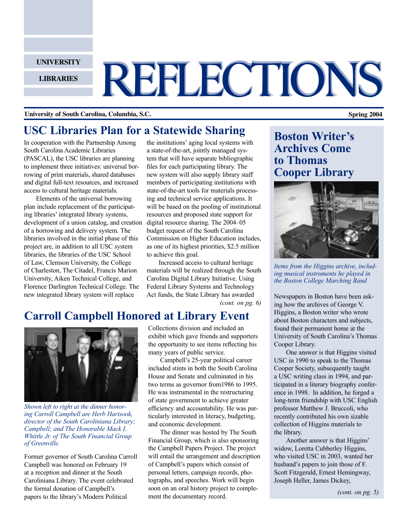**UNIVERSITY**

**LIBRARIES**

# REFLECTIONS

#### **University of South Carolina, Columbia, S.C. Spring 2004**

## **USC Libraries Plan for a Statewide Sharing**

In cooperation with the Partnership Among South Carolina Academic Libraries (PASCAL), the USC libraries are planning to implement three initiatives: universal borrowing of print materials, shared databases and digital full-text resources, and increased access to cultural heritage materials.

Elements of the universal borrowing plan include replacement of the participating libraries' integrated library systems, development of a union catalog, and creation of a borrowing and delivery system. The libraries involved in the initial phase of this project are, in addition to all USC system libraries, the libraries of the USC School of Law, Clemson University, the College of Charleston, The Citadel, Francis Marion University, Aiken Technical College, and Florence Darlington Technical College. The new integrated library system will replace

the institutions' aging local systems with a state-of-the-art, jointly managed system that will have separate bibliographic files for each participating library. The new system will also supply library staff members of participating institutions with state-of-the-art tools for materials processing and technical service applications. It will be based on the pooling of institutional resources and proposed state support for digital resource sharing. The 2004–05 budget request of the South Carolina Commission on Higher Education includes, as one of its highest priorities, \$2.5 million to achieve this goal.

*(cont. on pg. 6)* Increased access to cultural heritage materials will be realized through the South Carolina Digital Library Initiative. Using Federal Library Systems and Technology Act funds, the State Library has awarded Newspapers in Boston have been ask-

## **Carroll Campbell Honored at Library Event**



*Shown left to right at the dinner honoring Carroll Campbell are Herb Hartsook, director of the South Caroliniana Library; Campbell; and The Honorable Mack I. Whittle Jr. of The South Financial Group of Greenville.*

Former governor of South Carolina Carroll Campbell was honored on February 19 at a reception and dinner at the South Caroliniana Library. The event celebrated the formal donation of Campbell's papers to the library's Modern Political

Collections division and included an exhibit which gave friends and supporters the opportunity to see items reflecting his many years of public service.

Campbell's 25-year political career included stints in both the South Carolina House and Senate and culminated in his two terms as governor from1986 to 1995. He was instrumental in the restructuring of state government to achieve greater efficiency and accountability. He was particularly interested in literacy, budgeting, and economic development.

The dinner was hosted by The South Financial Group, which is also sponsoring the Campbell Papers Project. The project will entail the arrangement and description of Campbell's papers which consist of personal letters, campaign records, photographs, and speeches. Work will begin soon on an oral history project to complement the documentary record.

## **Boston Writer's Archives Come to Thomas Cooper Library**



*Items from the Higgins archive, including musical instruments he played in the Boston College Marching Band*

ing how the archives of George V. Higgins, a Boston writer who wrote about Boston characters and subjects, found their permanent home at the University of South Carolina's Thomas Cooper Library.

One answer is that Higgins visited USC in 1990 to speak to the Thomas Cooper Society, subsequently taught a USC writing class in 1994, and participated in a literary biography conference in 1998. In addition, he forged a long-term friendship with USC English professor Matthew J. Bruccoli, who recently contributed his own sizable collection of Higgins materials to the library.

Another answer is that Higgins' widow, Loretta Cubberley Higgins, who visited USC in 2003, wanted her husband's papers to join those of F. Scott Fitzgerald, Ernest Hemingway, Joseph Heller, James Dickey,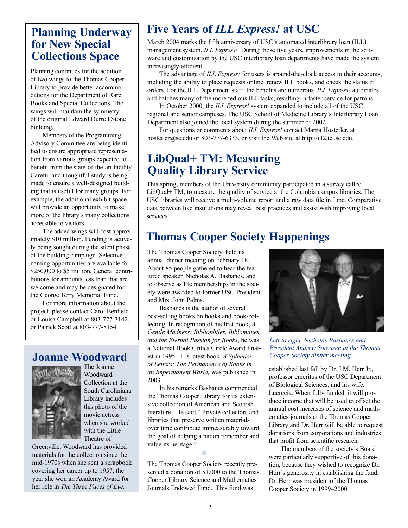## **Planning Underway for New Special Collections Space**

Planning continues for the addition of two wings to the Thomas Cooper Library to provide better accommodations for the Department of Rare Books and Special Collections. The wings will maintain the symmetry of the original Edward Durrell Stone building.

Members of the Programming Advisory Committee are being identified to ensure appropriate representation from various groups expected to benefit from the state-of-the-art facility. Careful and thoughtful study is being made to ensure a well-designed building that is useful for many groups. For example, the additional exhibit space will provide an opportunity to make more of the library's many collections accessible to visitors.

The added wings will cost approximately \$10 million. Funding is actively being sought during the silent phase of the building campaign. Selective naming opportunities are available for \$250,000 to \$5 million. General contributions for amounts less than that are welcome and may be designated for the George Terry Memorial Fund.

For more information about the project, please contact Carol Benfield or Louisa Campbell at 803-777-3142, or Patrick Scott at 803-777-8154.

## **Joanne Woodward**



The Joanne Woodward Collection at the South Caroliniana Library includes this photo of the movie actress when she worked with the Little Theatre of

Greenville. Woodward has provided materials for the collection since the mid-1970s when she sent a scrapbook covering her career up to 1957, the year she won an Academy Award for her role in *The Three Faces of Eve.* 

## **Five Years of** *ILL Express!* **at USC**

March 2004 marks the fifth anniversary of USC's automated interlibrary loan (ILL) management system, *ILL Express!* During those five years, improvements in the software and customization by the USC interlibrary loan departments have made the system increasingly efficient.

The advantage of *ILL Express!* for users is around-the-clock access to their accounts, including the ability to place requests online, renew ILL books, and check the status of orders. For the ILL Department staff, the benefits are numerous. *ILL Express!* automates and batches many of the more tedious ILL tasks, resulting in faster service for patrons.

In October 2000, the *ILL Express!* system expanded to include all of the USC regional and senior campuses. The USC School of Medicine Library's Interlibrary Loan Department also joined the local system during the summer of 2002.

For questions or comments about *ILL Express!* contact Marna Hostetler, at hostetler@sc.edu or 803-777-6333, or visit the Web site at http://ill2.tcl.sc.edu.

## **LibQual+ TM: Measuring Quality Library Service**

This spring, members of the University community participated in a survey called LibQual+ TM, to measure the quality of service at the Columbia campus libraries. The USC libraries will receive a multi-volume report and a raw data file in June. Comparative data between like institutions may reveal best practices and assist with improving local services.

## **Thomas Cooper Society Happenings**

The Thomas Cooper Society, held its annual dinner meeting on February 18. About 85 people gathered to hear the featured speaker, Nicholas A. Basbanes, and to observe as life memberships in the society were awarded to former USC President and Mrs. John Palms.

Basbanes is the author of several best-selling books on books and book-collecting. In recognition of his first book, *A Gentle Madness: Bibliophiles, Biblomanes, and the Eternal Passion for Books*, he was a National Book Critics Circle Award finalist in 1995. His latest book, *A Splendor of Letters: The Permanence of Books in an Impermanent World,* was published in 2003.

In his remarks Basbanes commended the Thomas Cooper Library for its extensive collection of American and Scottish literature. He said, "Private collectors and libraries that preserve written materials over time contribute immeasurably toward the goal of helping a nation remember and value its heritage."

The Thomas Cooper Society recently presented a donation of \$1,000 to the Thomas Cooper Library Science and Mathematics Journals Endowed Fund. This fund was

■



*Left to right, Nicholas Basbanes and President Andrew Sorensen at the Thomas Cooper Society dinner meeting*

established last fall by Dr. J.M. Herr Jr., professor emeritus of the USC Department of Biological Sciences, and his wife, Lucrecia. When fully funded, it will produce income that will be used to offset the annual cost increases of science and mathematics journals at the Thomas Cooper Library and Dr. Herr will be able to request donations from corporations and industries that profit from scientific research.

The members of the society's Board were particularly supportive of this donation, because they wished to recognize Dr. Herr's generosity in establishing the fund. Dr. Herr was president of the Thomas Cooper Society in 1999–2000.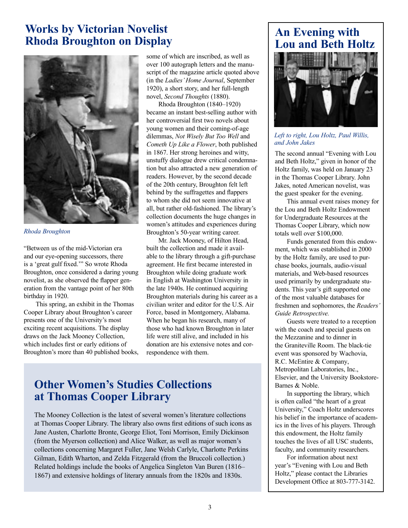## **Works by Victorian Novelist Rhoda Broughton on Display**



#### *Rhoda Broughton*

"Between us of the mid-Victorian era and our eye-opening successors, there is a 'great gulf fixed.'" So wrote Rhoda Broughton, once considered a daring young novelist, as she observed the flapper generation from the vantage point of her 80th birthday in 1920.

This spring, an exhibit in the Thomas Cooper Library about Broughton's career presents one of the University's most exciting recent acquisitions. The display draws on the Jack Mooney Collection, which includes first or early editions of Broughton's more than 40 published books, some of which are inscribed, as well as over 100 autograph letters and the manuscript of the magazine article quoted above (in the *Ladies' Home Journal*, September 1920), a short story, and her full-length novel, *Second Thoughts* (1880).

Rhoda Broughton (1840–1920) became an instant best-selling author with her controversial first two novels about young women and their coming-of-age dilemmas, *Not Wisely But Too Well* and *Cometh Up Like a Flower*, both published in 1867. Her strong heroines and witty, unstuffy dialogue drew critical condemnation but also attracted a new generation of readers. However, by the second decade of the 20th century, Broughton felt left behind by the suffragettes and flappers to whom she did not seem innovative at all, but rather old-fashioned. The library's collection documents the huge changes in women's attitudes and experiences during Broughton's 50-year writing career.

Mr. Jack Mooney, of Hilton Head, built the collection and made it available to the library through a gift-purchase agreement. He first became interested in Broughton while doing graduate work in English at Washington University in the late 1940s. He continued acquiring Broughton materials during his career as a civilian writer and editor for the U.S. Air Force, based in Montgomery, Alabama. When he began his research, many of those who had known Broughton in later life were still alive, and included in his donation are his extensive notes and correspondence with them.

## **Other Women's Studies Collections at Thomas Cooper Library**

The Mooney Collection is the latest of several women's literature collections at Thomas Cooper Library. The library also owns first editions of such icons as Jane Austen, Charlotte Bronte, George Eliot, Toni Morrison, Emily Dickinson (from the Myerson collection) and Alice Walker, as well as major women's collections concerning Margaret Fuller, Jane Welsh Carlyle, Charlotte Perkins Gilman, Edith Wharton, and Zelda Fitzgerald (from the Bruccoli collection.) Related holdings include the books of Angelica Singleton Van Buren (1816– 1867) and extensive holdings of literary annuals from the 1820s and 1830s.

## **An Evening with Lou and Beth Holtz**



#### *Left to right, Lou Holtz, Paul Willis, and John Jakes*

The second annual "Evening with Lou and Beth Holtz," given in honor of the Holtz family, was held on January 23 in the Thomas Cooper Library. John Jakes, noted American novelist, was the guest speaker for the evening.

This annual event raises money for the Lou and Beth Holtz Endowment for Undergraduate Resources at the Thomas Cooper Library, which now totals well over \$100,000.

Funds generated from this endowment, which was established in 2000 by the Holtz family, are used to purchase books, journals, audio-visual materials, and Web-based resources used primarily by undergraduate students. This year's gift supported one of the most valuable databases for freshmen and sophomores, the *Readers' Guide Retrospective.*

Guests were treated to a reception with the coach and special guests on the Mezzanine and to dinner in the Graniteville Room. The black-tie event was sponsored by Wachovia, R.C. McEntire & Company, Metropolitan Laboratories, Inc., Elsevier, and the University Bookstore-Barnes & Noble.

In supporting the library, which is often called "the heart of a great University," Coach Holtz underscores his belief in the importance of academics in the lives of his players. Through this endowment, the Holtz family touches the lives of all USC students, faculty, and community researchers.

For information about next year's "Evening with Lou and Beth Holtz," please contact the Libraries Development Office at 803-777-3142.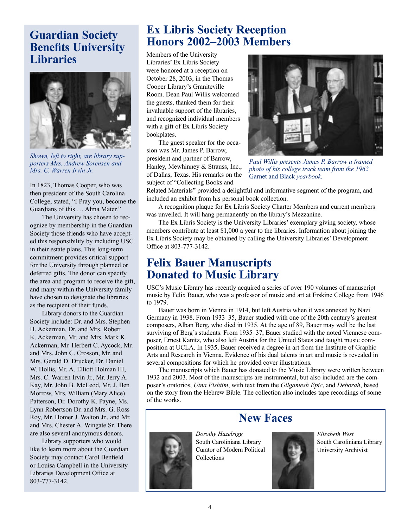## **Guardian Society Benefits University Libraries**



*Shown, left to right, are library supporters Mrs. Andrew Sorensen and Mrs. C. Warren Irvin Jr.*

In 1823, Thomas Cooper, who was then president of the South Carolina College, stated, "I Pray you, become the Guardians of this … Alma Mater."

The University has chosen to recognize by membership in the Guardian Society those friends who have accepted this responsibility by including USC in their estate plans. This long-term commitment provides critical support for the University through planned or deferred gifts. The donor can specify the area and program to receive the gift, and many within the University family have chosen to designate the libraries as the recipient of their funds.

Library donors to the Guardian Society include: Dr. and Mrs. Stephen H. Ackerman, Dr. and Mrs. Robert K. Ackerman, Mr. and Mrs. Mark K. Ackerman, Mr. Herbert C. Aycock, Mr. and Mrs. John C. Crosson, Mr. and Mrs. Gerald D. Drucker, Dr. Daniel W. Hollis, Mr. A. Elliott Holman III, Mrs. C. Warren Irvin Jr., Mr. Jerry A. Kay, Mr. John B. McLeod, Mr. J. Ben Morrow, Mrs. William (Mary Alice) Patterson, Dr. Dorothy K. Payne, Ms. Lynn Robertson Dr. and Mrs. G. Ross Roy, Mr. Homer J. Walton Jr., and Mr. and Mrs. Chester A. Wingate Sr. There are also several anonymous donors.

Library supporters who would like to learn more about the Guardian Society may contact Carol Benfield or Louisa Campbell in the University Libraries Development Office at 803-777-3142.

## **Ex Libris Society Reception Honors 2002–2003 Members**

Members of the University Libraries' Ex Libris Society were honored at a reception on October 28, 2003, in the Thomas Cooper Library's Graniteville Room. Dean Paul Willis welcomed the guests, thanked them for their invaluable support of the libraries, and recognized individual members with a gift of Ex Libris Society bookplates.

The guest speaker for the occasion was Mr. James P. Barrow, president and partner of Barrow, Hanley, Mewhinney & Strauss, Inc., of Dallas, Texas. His remarks on the subject of "Collecting Books and



*Paul Willis presents James P. Barrow a framed photo of his college track team from the 1962*  Garnet and Black *yearbook.*

Related Materials" provided a delightful and informative segment of the program, and included an exhibit from his personal book collection.

A recognition plaque for Ex Libris Society Charter Members and current members was unveiled. It will hang permanently on the library's Mezzanine.

The Ex Libris Society is the University Libraries' exemplary giving society, whose members contribute at least \$1,000 a year to the libraries. Information about joining the Ex Libris Society may be obtained by calling the University Libraries' Development Office at 803-777-3142.

## **Felix Bauer Manuscripts Donated to Music Library**

USC's Music Library has recently acquired a series of over 190 volumes of manuscript music by Felix Bauer, who was a professor of music and art at Erskine College from 1946 to 1979.

Bauer was born in Vienna in 1914, but left Austria when it was annexed by Nazi Germany in 1938. From 1933–35, Bauer studied with one of the 20th century's greatest composers, Alban Berg, who died in 1935. At the age of 89, Bauer may well be the last surviving of Berg's students. From 1935–37, Bauer studied with the noted Viennese composer, Ernest Kanitz, who also left Austria for the United States and taught music composition at UCLA. In 1935, Bauer received a degree in art from the Institute of Graphic Arts and Research in Vienna. Evidence of his dual talents in art and music is revealed in several compositions for which he provided cover illustrations.

The manuscripts which Bauer has donated to the Music Library were written between 1932 and 2003. Most of the manuscripts are instrumental, but also included are the composer's oratorios, *Utna Pishtim*, with text from the *Gilgamesh Epic*, and *Deborah*, based on the story from the Hebrew Bible. The collection also includes tape recordings of some of the works.

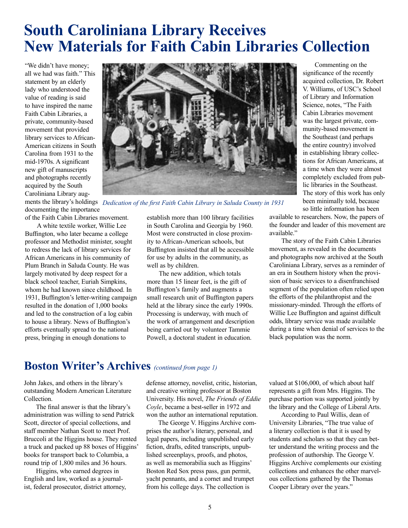## **South Caroliniana Library Receives New Materials for Faith Cabin Libraries Collection**

"We didn't have money; all we had was faith." This statement by an elderly lady who understood the value of reading is said to have inspired the name Faith Cabin Libraries, a private, community-based movement that provided library services to African-American citizens in South Carolina from 1931 to the mid-1970s. A significant new gift of manuscripts and photographs recently acquired by the South Caroliniana Library aug-

documenting the importance of the Faith Cabin Libraries movement.

A white textile worker, Willie Lee Buffington, who later became a college professor and Methodist minister, sought to redress the lack of library services for African Americans in his community of Plum Branch in Saluda County. He was largely motivated by deep respect for a black school teacher, Euriah Simpkins, whom he had known since childhood. In 1931, Buffington's letter-writing campaign resulted in the donation of 1,000 books and led to the construction of a log cabin to house a library. News of Buffington's efforts eventually spread to the national press, bringing in enough donations to



ments the library's holdings *Dedication of the first Faith Cabin Library in Saluda County in 1931*

establish more than 100 library facilities in South Carolina and Georgia by 1960. Most were constructed in close proximity to African-American schools, but Buffington insisted that all be accessible for use by adults in the community, as well as by children.

The new addition, which totals more than 15 linear feet, is the gift of Buffington's family and augments a small research unit of Buffington papers held at the library since the early 1990s. Processing is underway, with much of the work of arrangement and description being carried out by volunteer Tammie Powell, a doctoral student in education.

Commenting on the significance of the recently acquired collection, Dr. Robert V. Williams, of USC's School of Library and Information Science, notes, "The Faith Cabin Libraries movement was the largest private, community-based movement in the Southeast (and perhaps the entire country) involved in establishing library collections for African Americans, at a time when they were almost completely excluded from public libraries in the Southeast. The story of this work has only been minimally told, because so little information has been

available to researchers. Now, the papers of the founder and leader of this movement are available."

The story of the Faith Cabin Libraries movement, as revealed in the documents and photographs now archived at the South Caroliniana Library, serves as a reminder of an era in Southern history when the provision of basic services to a disenfranchised segment of the population often relied upon the efforts of the philanthropist and the missionary-minded. Through the efforts of Willie Lee Buffington and against difficult odds, library service was made available during a time when denial of services to the black population was the norm.

## **Boston Writer's Archives** *(continued from page 1)*

John Jakes, and others in the library's outstanding Modern American Literature Collection.

The final answer is that the library's administration was willing to send Patrick Scott, director of special collections, and staff member Nathan Scott to meet Prof. Bruccoli at the Higgins house. They rented a truck and packed up 88 boxes of Higgins' books for transport back to Columbia, a round trip of 1,800 miles and 36 hours.

Higgins, who earned degrees in English and law, worked as a journalist, federal prosecutor, district attorney, defense attorney, novelist, critic, historian, and creative writing professor at Boston University. His novel, *The Friends of Eddie Coyle*, became a best-seller in 1972 and won the author an international reputation.

The George V. Higgins Archive comprises the author's literary, personal, and legal papers, including unpublished early fiction, drafts, edited transcripts, unpublished screenplays, proofs, and photos, as well as memorabilia such as Higgins' Boston Red Sox press pass, gun permit, yacht pennants, and a cornet and trumpet from his college days. The collection is

valued at \$106,000, of which about half represents a gift from Mrs. Higgins. The purchase portion was supported jointly by the library and the College of Liberal Arts.

According to Paul Willis, dean of University Libraries, "The true value of a literary collection is that it is used by students and scholars so that they can better understand the writing process and the profession of authorship. The George V. Higgins Archive complements our existing collections and enhances the other marvelous collections gathered by the Thomas Cooper Library over the years."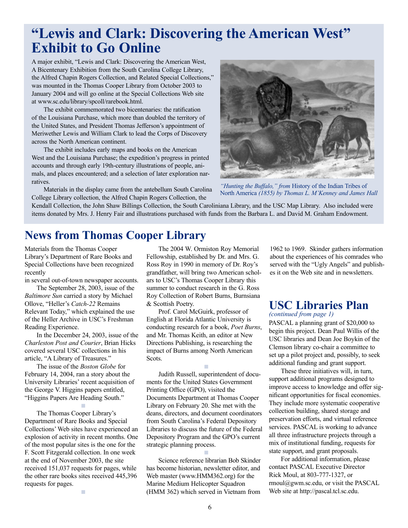## **"Lewis and Clark: Discovering the American West" Exhibit to Go Online**

A major exhibit, "Lewis and Clark: Discovering the American West, A Bicentenary Exhibition from the South Carolina College Library, the Alfred Chapin Rogers Collection, and Related Special Collections," was mounted in the Thomas Cooper Library from October 2003 to January 2004 and will go online at the Special Collections Web site at www.sc.edu/library/spcoll/rarebook.html.

The exhibit commemorated two bicentenaries: the ratification of the Louisiana Purchase, which more than doubled the territory of the United States, and President Thomas Jefferson's appointment of Meriwether Lewis and William Clark to lead the Corps of Discovery across the North American continent.

The exhibit includes early maps and books on the American West and the Louisiana Purchase; the expedition's progress in printed accounts and through early 19th-century illustrations of people, animals, and places encountered; and a selection of later exploration narratives.

Materials in the display came from the antebellum South Carolina College Library collection, the Alfred Chapin Rogers Collection, the



*"Hunting the Buffalo," from* History of the Indian Tribes of North America *(1855) by Thomas L. M'Kenney and James Hall*

Kendall Collection, the John Shaw Billings Collection, the South Caroliniana Library, and the USC Map Library. Also included were items donated by Mrs. J. Henry Fair and illustrations purchased with funds from the Barbara L. and David M. Graham Endowment.

## **News from Thomas Cooper Library**

Materials from the Thomas Cooper Library's Department of Rare Books and Special Collections have been recognized recently

in several out-of-town newspaper accounts.

The September 28, 2003, issue of the *Baltimore Sun* carried a story by Michael Ollove, "Heller's *Catch-22* Remains Relevant Today," which explained the use of the Heller Archive in USC's Freshman Reading Experience.

In the December 24, 2003, issue of the *Charleston Post and Courier*, Brian Hicks covered several USC collections in his article, "A Library of Treasures."

The issue of the *Boston Globe* for February 14, 2004, ran a story about the University Libraries' recent acquisition of the George V. Higgins papers entitled, "Higgins Papers Are Heading South."

■

The Thomas Cooper Library's Department of Rare Books and Special Collections' Web sites have experienced an explosion of activity in recent months. One of the most popular sites is the one for the F. Scott Fitzgerald collection. In one week at the end of November 2003, the site received 151,037 requests for pages, while the other rare books sites received 445,396 requests for pages.

■

The 2004 W. Ormiston Roy Memorial Fellowship, established by Dr. and Mrs. G. Ross Roy in 1990 in memory of Dr. Roy's grandfather, will bring two American scholars to USC's Thomas Cooper Library this summer to conduct research in the G. Ross Roy Collection of Robert Burns, Burnsiana & Scottish Poetry.

Prof. Carol McGuirk, professor of English at Florida Atlantic University is conducting research for a book, *Poet Burns*, and Mr. Thomas Keith, an editor at New Directions Publishing, is researching the impact of Burns among North American Scots.

■

Judith Russell, superintendent of documents for the United States Government Printing Office (GPO), visited the Documents Department at Thomas Cooper Library on February 20. She met with the deans, directors, and document coordinators from South Carolina's Federal Depository Libraries to discuss the future of the Federal Depository Program and the GPO's current strategic planning process.

Science reference librarian Bob Skinder has become historian, newsletter editor, and Web master (www.HMM362.org) for the Marine Medium Helicopter Squadron (HMM 362) which served in Vietnam from

■

1962 to 1969. Skinder gathers information about the experiences of his comrades who served with the "Ugly Angels" and publishes it on the Web site and in newsletters.

## **USC Libraries Plan**

*(continued from page 1)* PASCAL a planning grant of \$20,000 to begin this project. Dean Paul Willis of the USC libraries and Dean Joe Boykin of the Clemson library co-chair a committee to set up a pilot project and, possibly, to seek additional funding and grant support.

These three initiatives will, in turn, support additional programs designed to improve access to knowledge and offer significant opportunities for fiscal economies. They include more systematic cooperative collection building, shared storage and preservation efforts, and virtual reference services. PASCAL is working to advance all three infrastructure projects through a mix of institutional funding, requests for state support, and grant proposals.

For additional information, please contact PASCAL Executive Director Rick Moul, at 803-777-1327, or rmoul@gwm.sc.edu, or visit the PASCAL Web site at http://pascal.tcl.sc.edu.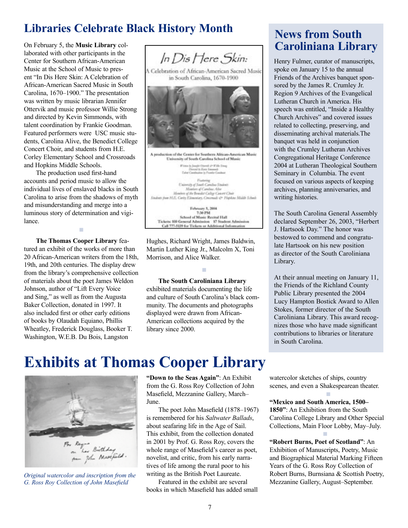## **Libraries Celebrate Black History Month**

Center for Southern African-American Music at the School of Music to present "In Dis Here Skin: A Celebration of African-American Sacred Music in South Carolina, 1670–1900." The presentation was written by music librarian Jennifer Ottervik and music professor Willie Strong and directed by Kevin Simmonds, with talent coordination by Frankie Goodman. Featured performers were USC music students, Carolina Alive, the Benedict College Concert Choir, and students from H.E. Corley Elementary School and Crossroads and Hopkins Middle Schools.

The production used first-hand accounts and period music to allow the individual lives of enslaved blacks in South Carolina to arise from the shadows of myth and misunderstanding and merge into a luminous story of determination and vigilance.

■

**The Thomas Cooper Library** featured an exhibit of the works of more than 20 African-American writers from the 18th, 19th, and 20th centuries. The display drew from the library's comprehensive collection of materials about the poet James Weldon Johnson, author of "Lift Every Voice and Sing," as well as from the Augusta Baker Collection, donated in 1997. It also included first or other early editions of books by Olaudah Equiano, Phillis Wheatley, Frederick Douglass, Booker T. Washington, W.E.B. Du Bois, Langston



Hughes, Richard Wright, James Baldwin, Martin Luther King Jr., Malcolm X, Toni Morrison, and Alice Walker.

■

**The South Caroliniana Library**  exhibited materials documenting the life and culture of South Carolina's black community. The documents and photographs displayed were drawn from African-American collections acquired by the library since 2000.

## **News from South**

Henry Fulmer, curator of manuscripts, spoke on January 15 to the annual Friends of the Archives banquet sponsored by the James R. Crumley Jr. Region 9 Archives of the Evangelical Lutheran Church in America. His speech was entitled, "Inside a Healthy Church Archives" and covered issues related to collecting, preserving, and disseminating archival materials.The banquet was held in conjunction with the Crumley Lutheran Archives Congregational Heritage Conference 2004 at Lutheran Theological Southern Seminary in Columbia. The event focused on various aspects of keeping archives, planning anniversaries, and writing histories.

The South Carolina General Assembly declared September 26, 2003, "Herbert J. Hartsook Day." The honor was bestowed to commend and congratulate Hartsook on his new position as director of the South Caroliniana Library.

At their annual meeting on January 11, the Friends of the Richland County Public Library presented the 2004 Lucy Hampton Bostick Award to Allen Stokes, former director of the South Caroliniana Library. This award recognizes those who have made significant contributions to libraries or literature in South Carolina.

## **Exhibits at Thomas Cooper Library**



*Original watercolor and inscription from the*  **G. Ross Roy Collection of John Masefield** 

**"Down to the Seas Again"**: An Exhibit from the G. Ross Roy Collection of John Masefield, Mezzanine Gallery, March-**June**.

The poet John Masefield (1878–1967) is remembered for his *Saltwater Ballads*, about seafaring life in the Age of Sail. This exhibit, from the collection donated in 2001 by Prof. G. Ross Roy, covers the whole range of Masefield's career as poet, novelist, and critic, from his early narratives of life among the rural poor to his writing as the British Poet Laureate.

Featured in the exhibit are several books in which Masefield has added small watercolor sketches of ships, country scenes, and even a Shakespearean theater.

■ Professional Professional Professional

**All Controls of the Control** 

**"Mexico and South America, 1500– 1850"**: An Exhibition from the South Carolina College Library and Other Special Collections, Main Floor Lobby, May–July.

**"Robert Burns, Poet of Scotland"**: An Exhibition of Manuscripts, Poetry, Music and Biographical Material Marking Fifteen Years of the G. Ross Roy Collection of Robert Burns, Burnsiana & Scottish Poetry, Mezzanine Gallery, August–September.